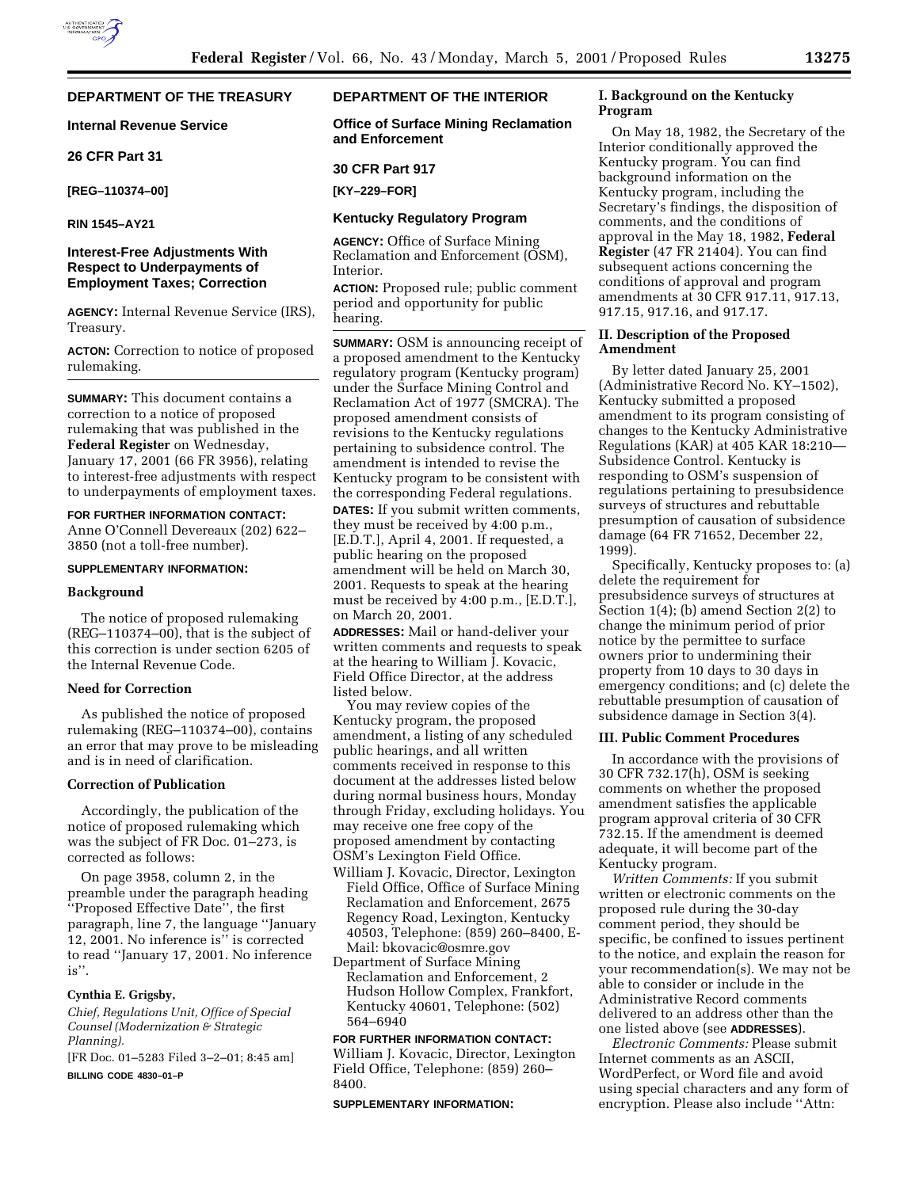# **DEPARTMENT OF THE TREASURY**

### **Internal Revenue Service**

# **26 CFR Part 31**

**[REG–110374–00]**

**RIN 1545–AY21**

## **Interest-Free Adjustments With Respect to Underpayments of Employment Taxes; Correction**

**AGENCY:** Internal Revenue Service (IRS), Treasury.

**ACTON:** Correction to notice of proposed rulemaking.

**SUMMARY:** This document contains a correction to a notice of proposed rulemaking that was published in the **Federal Register** on Wednesday, January 17, 2001 (66 FR 3956), relating to interest-free adjustments with respect to underpayments of employment taxes.

## **FOR FURTHER INFORMATION CONTACT:**

Anne O'Connell Devereaux (202) 622– 3850 (not a toll-free number).

#### **SUPPLEMENTARY INFORMATION:**

### **Background**

The notice of proposed rulemaking (REG–110374–00), that is the subject of this correction is under section 6205 of the Internal Revenue Code.

### **Need for Correction**

As published the notice of proposed rulemaking (REG–110374–00), contains an error that may prove to be misleading and is in need of clarification.

### **Correction of Publication**

Accordingly, the publication of the notice of proposed rulemaking which was the subject of FR Doc. 01–273, is corrected as follows:

On page 3958, column 2, in the preamble under the paragraph heading ''Proposed Effective Date'', the first paragraph, line 7, the language ''January 12, 2001. No inference is'' is corrected to read ''January 17, 2001. No inference is''.

#### **Cynthia E. Grigsby,**

*Chief, Regulations Unit, Office of Special Counsel (Modernization & Strategic Planning).*

[FR Doc. 01–5283 Filed 3–2–01; 8:45 am] **BILLING CODE 4830–01–P**

# **DEPARTMENT OF THE INTERIOR**

**Office of Surface Mining Reclamation and Enforcement**

#### **30 CFR Part 917**

**[KY–229–FOR]**

## **Kentucky Regulatory Program**

**AGENCY:** Office of Surface Mining Reclamation and Enforcement (OSM), Interior.

**ACTION:** Proposed rule; public comment period and opportunity for public hearing.

**SUMMARY:** OSM is announcing receipt of a proposed amendment to the Kentucky regulatory program (Kentucky program) under the Surface Mining Control and Reclamation Act of 1977 (SMCRA). The proposed amendment consists of revisions to the Kentucky regulations pertaining to subsidence control. The amendment is intended to revise the Kentucky program to be consistent with the corresponding Federal regulations.

**DATES:** If you submit written comments, they must be received by 4:00 p.m., [E.D.T.], April 4, 2001. If requested, a public hearing on the proposed amendment will be held on March 30, 2001. Requests to speak at the hearing must be received by 4:00 p.m., [E.D.T.], on March 20, 2001.

**ADDRESSES:** Mail or hand-deliver your written comments and requests to speak at the hearing to William J. Kovacic, Field Office Director, at the address listed below.

You may review copies of the Kentucky program, the proposed amendment, a listing of any scheduled public hearings, and all written comments received in response to this document at the addresses listed below during normal business hours, Monday through Friday, excluding holidays. You may receive one free copy of the proposed amendment by contacting OSM's Lexington Field Office.

- William J. Kovacic, Director, Lexington Field Office, Office of Surface Mining Reclamation and Enforcement, 2675 Regency Road, Lexington, Kentucky 40503, Telephone: (859) 260–8400, E-Mail: bkovacic@osmre.gov
- Department of Surface Mining Reclamation and Enforcement, 2 Hudson Hollow Complex, Frankfort, Kentucky 40601, Telephone: (502) 564–6940

#### **FOR FURTHER INFORMATION CONTACT:**

William J. Kovacic, Director, Lexington Field Office, Telephone: (859) 260– 8400.

#### **SUPPLEMENTARY INFORMATION:**

## **I. Background on the Kentucky Program**

On May 18, 1982, the Secretary of the Interior conditionally approved the Kentucky program. You can find background information on the Kentucky program, including the Secretary's findings, the disposition of comments, and the conditions of approval in the May 18, 1982, **Federal Register** (47 FR 21404). You can find subsequent actions concerning the conditions of approval and program amendments at 30 CFR 917.11, 917.13, 917.15, 917.16, and 917.17.

### **II. Description of the Proposed Amendment**

By letter dated January 25, 2001 (Administrative Record No. KY–1502), Kentucky submitted a proposed amendment to its program consisting of changes to the Kentucky Administrative Regulations (KAR) at 405 KAR 18:210— Subsidence Control. Kentucky is responding to OSM's suspension of regulations pertaining to presubsidence surveys of structures and rebuttable presumption of causation of subsidence damage (64 FR 71652, December 22, 1999).

Specifically, Kentucky proposes to: (a) delete the requirement for presubsidence surveys of structures at Section 1(4); (b) amend Section 2(2) to change the minimum period of prior notice by the permittee to surface owners prior to undermining their property from 10 days to 30 days in emergency conditions; and (c) delete the rebuttable presumption of causation of subsidence damage in Section 3(4).

#### **III. Public Comment Procedures**

In accordance with the provisions of 30 CFR 732.17(h), OSM is seeking comments on whether the proposed amendment satisfies the applicable program approval criteria of 30 CFR 732.15. If the amendment is deemed adequate, it will become part of the Kentucky program.

*Written Comments:* If you submit written or electronic comments on the proposed rule during the 30-day comment period, they should be specific, be confined to issues pertinent to the notice, and explain the reason for your recommendation(s). We may not be able to consider or include in the Administrative Record comments delivered to an address other than the one listed above (see **ADDRESSES**).

*Electronic Comments:* Please submit Internet comments as an ASCII, WordPerfect, or Word file and avoid using special characters and any form of encryption. Please also include ''Attn: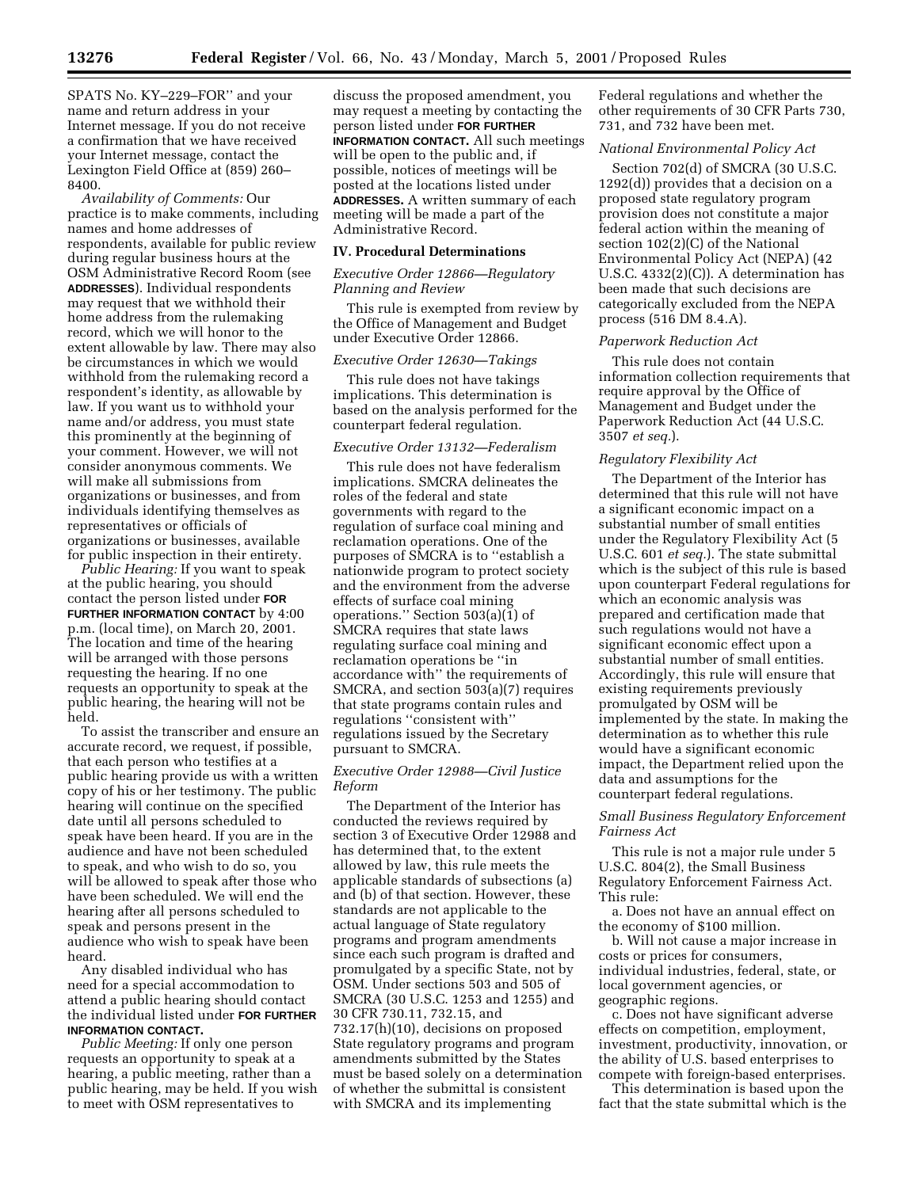SPATS No. KY–229–FOR'' and your name and return address in your Internet message. If you do not receive a confirmation that we have received your Internet message, contact the Lexington Field Office at (859) 260– 8400.

*Availability of Comments:* Our practice is to make comments, including names and home addresses of respondents, available for public review during regular business hours at the OSM Administrative Record Room (see **ADDRESSES**). Individual respondents may request that we withhold their home address from the rulemaking record, which we will honor to the extent allowable by law. There may also be circumstances in which we would withhold from the rulemaking record a respondent's identity, as allowable by law. If you want us to withhold your name and/or address, you must state this prominently at the beginning of your comment. However, we will not consider anonymous comments. We will make all submissions from organizations or businesses, and from individuals identifying themselves as representatives or officials of organizations or businesses, available for public inspection in their entirety.

*Public Hearing:* If you want to speak at the public hearing, you should contact the person listed under **FOR FURTHER INFORMATION CONTACT** by 4:00 p.m. (local time), on March 20, 2001. The location and time of the hearing will be arranged with those persons requesting the hearing. If no one requests an opportunity to speak at the public hearing, the hearing will not be held.

To assist the transcriber and ensure an accurate record, we request, if possible, that each person who testifies at a public hearing provide us with a written copy of his or her testimony. The public hearing will continue on the specified date until all persons scheduled to speak have been heard. If you are in the audience and have not been scheduled to speak, and who wish to do so, you will be allowed to speak after those who have been scheduled. We will end the hearing after all persons scheduled to speak and persons present in the audience who wish to speak have been heard.

Any disabled individual who has need for a special accommodation to attend a public hearing should contact the individual listed under **FOR FURTHER INFORMATION CONTACT.**

*Public Meeting:* If only one person requests an opportunity to speak at a hearing, a public meeting, rather than a public hearing, may be held. If you wish to meet with OSM representatives to

discuss the proposed amendment, you may request a meeting by contacting the person listed under **FOR FURTHER INFORMATION CONTACT.** All such meetings will be open to the public and, if possible, notices of meetings will be posted at the locations listed under **ADDRESSES.** A written summary of each meeting will be made a part of the Administrative Record.

#### **IV. Procedural Determinations**

### *Executive Order 12866—Regulatory Planning and Review*

This rule is exempted from review by the Office of Management and Budget under Executive Order 12866.

### *Executive Order 12630—Takings*

This rule does not have takings implications. This determination is based on the analysis performed for the counterpart federal regulation.

### *Executive Order 13132—Federalism*

This rule does not have federalism implications. SMCRA delineates the roles of the federal and state governments with regard to the regulation of surface coal mining and reclamation operations. One of the purposes of SMCRA is to ''establish a nationwide program to protect society and the environment from the adverse effects of surface coal mining operations.'' Section 503(a)(1) of SMCRA requires that state laws regulating surface coal mining and reclamation operations be ''in accordance with'' the requirements of SMCRA, and section 503(a)(7) requires that state programs contain rules and regulations ''consistent with'' regulations issued by the Secretary pursuant to SMCRA.

#### *Executive Order 12988—Civil Justice Reform*

The Department of the Interior has conducted the reviews required by section 3 of Executive Order 12988 and has determined that, to the extent allowed by law, this rule meets the applicable standards of subsections (a) and (b) of that section. However, these standards are not applicable to the actual language of State regulatory programs and program amendments since each such program is drafted and promulgated by a specific State, not by OSM. Under sections 503 and 505 of SMCRA (30 U.S.C. 1253 and 1255) and 30 CFR 730.11, 732.15, and 732.17(h)(10), decisions on proposed State regulatory programs and program amendments submitted by the States must be based solely on a determination of whether the submittal is consistent with SMCRA and its implementing

Federal regulations and whether the other requirements of 30 CFR Parts 730, 731, and 732 have been met.

#### *National Environmental Policy Act*

Section 702(d) of SMCRA (30 U.S.C. 1292(d)) provides that a decision on a proposed state regulatory program provision does not constitute a major federal action within the meaning of section 102(2)(C) of the National Environmental Policy Act (NEPA) (42 U.S.C. 4332(2)(C)). A determination has been made that such decisions are categorically excluded from the NEPA process (516 DM 8.4.A).

### *Paperwork Reduction Act*

This rule does not contain information collection requirements that require approval by the Office of Management and Budget under the Paperwork Reduction Act (44 U.S.C. 3507 *et seq.*).

### *Regulatory Flexibility Act*

The Department of the Interior has determined that this rule will not have a significant economic impact on a substantial number of small entities under the Regulatory Flexibility Act (5 U.S.C. 601 *et seq.*). The state submittal which is the subject of this rule is based upon counterpart Federal regulations for which an economic analysis was prepared and certification made that such regulations would not have a significant economic effect upon a substantial number of small entities. Accordingly, this rule will ensure that existing requirements previously promulgated by OSM will be implemented by the state. In making the determination as to whether this rule would have a significant economic impact, the Department relied upon the data and assumptions for the counterpart federal regulations.

## *Small Business Regulatory Enforcement Fairness Act*

This rule is not a major rule under 5 U.S.C. 804(2), the Small Business Regulatory Enforcement Fairness Act. This rule:

a. Does not have an annual effect on the economy of \$100 million.

b. Will not cause a major increase in costs or prices for consumers, individual industries, federal, state, or local government agencies, or geographic regions.

c. Does not have significant adverse effects on competition, employment, investment, productivity, innovation, or the ability of U.S. based enterprises to compete with foreign-based enterprises.

This determination is based upon the fact that the state submittal which is the